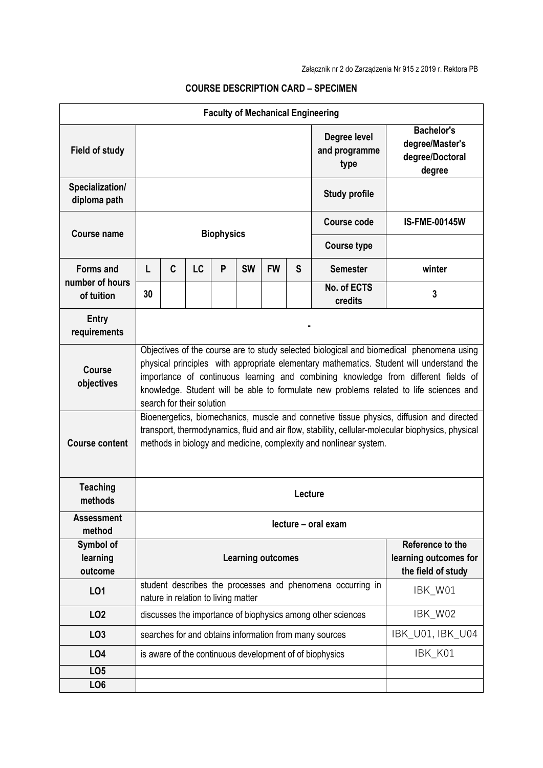| <b>Faculty of Mechanical Engineering</b>   |                                                                                                                                                                                                                                                                                                                                                                                                   |   |    |   |           |           |                  |                                                                 |                                                                   |  |
|--------------------------------------------|---------------------------------------------------------------------------------------------------------------------------------------------------------------------------------------------------------------------------------------------------------------------------------------------------------------------------------------------------------------------------------------------------|---|----|---|-----------|-----------|------------------|-----------------------------------------------------------------|-------------------------------------------------------------------|--|
| <b>Field of study</b>                      |                                                                                                                                                                                                                                                                                                                                                                                                   |   |    |   |           |           |                  | Degree level<br>and programme<br>type                           | <b>Bachelor's</b><br>degree/Master's<br>degree/Doctoral<br>degree |  |
| Specialization/<br>diploma path            |                                                                                                                                                                                                                                                                                                                                                                                                   |   |    |   |           |           |                  | <b>Study profile</b>                                            |                                                                   |  |
| <b>Course name</b>                         | <b>Biophysics</b>                                                                                                                                                                                                                                                                                                                                                                                 |   |    |   |           |           |                  | Course code                                                     | <b>IS-FME-00145W</b>                                              |  |
|                                            |                                                                                                                                                                                                                                                                                                                                                                                                   |   |    |   |           |           |                  | <b>Course type</b>                                              |                                                                   |  |
| Forms and<br>number of hours<br>of tuition | L                                                                                                                                                                                                                                                                                                                                                                                                 | C | LC | P | <b>SW</b> | <b>FW</b> | S                | <b>Semester</b>                                                 | winter                                                            |  |
|                                            | 30                                                                                                                                                                                                                                                                                                                                                                                                |   |    |   |           |           |                  | No. of ECTS<br>credits                                          | 3                                                                 |  |
| <b>Entry</b><br>requirements               |                                                                                                                                                                                                                                                                                                                                                                                                   |   |    |   |           |           |                  |                                                                 |                                                                   |  |
| <b>Course</b><br>objectives                | Objectives of the course are to study selected biological and biomedical phenomena using<br>physical principles with appropriate elementary mathematics. Student will understand the<br>importance of continuous learning and combining knowledge from different fields of<br>knowledge. Student will be able to formulate new problems related to life sciences and<br>search for their solution |   |    |   |           |           |                  |                                                                 |                                                                   |  |
| <b>Course content</b>                      | Bioenergetics, biomechanics, muscle and connetive tissue physics, diffusion and directed<br>transport, thermodynamics, fluid and air flow, stability, cellular-molecular biophysics, physical<br>methods in biology and medicine, complexity and nonlinear system.                                                                                                                                |   |    |   |           |           |                  |                                                                 |                                                                   |  |
| <b>Teaching</b><br>methods                 | Lecture                                                                                                                                                                                                                                                                                                                                                                                           |   |    |   |           |           |                  |                                                                 |                                                                   |  |
| <b>Assessment</b><br>method                | lecture - oral exam                                                                                                                                                                                                                                                                                                                                                                               |   |    |   |           |           |                  |                                                                 |                                                                   |  |
| Symbol of<br>learning<br>outcome           | <b>Learning outcomes</b>                                                                                                                                                                                                                                                                                                                                                                          |   |    |   |           |           |                  | Reference to the<br>learning outcomes for<br>the field of study |                                                                   |  |
| LO1                                        | student describes the processes and phenomena occurring in<br>nature in relation to living matter                                                                                                                                                                                                                                                                                                 |   |    |   |           |           |                  | IBK_W01                                                         |                                                                   |  |
| LO <sub>2</sub>                            | discusses the importance of biophysics among other sciences                                                                                                                                                                                                                                                                                                                                       |   |    |   |           |           |                  | IBK_W02                                                         |                                                                   |  |
| LO <sub>3</sub>                            | searches for and obtains information from many sources                                                                                                                                                                                                                                                                                                                                            |   |    |   |           |           | IBK_U01, IBK_U04 |                                                                 |                                                                   |  |
| <b>LO4</b>                                 |                                                                                                                                                                                                                                                                                                                                                                                                   |   |    |   |           |           |                  | is aware of the continuous development of of biophysics         | IBK_K01                                                           |  |
| LO <sub>5</sub>                            |                                                                                                                                                                                                                                                                                                                                                                                                   |   |    |   |           |           |                  |                                                                 |                                                                   |  |
| LO <sub>6</sub>                            |                                                                                                                                                                                                                                                                                                                                                                                                   |   |    |   |           |           |                  |                                                                 |                                                                   |  |

## **COURSE DESCRIPTION CARD – SPECIMEN**